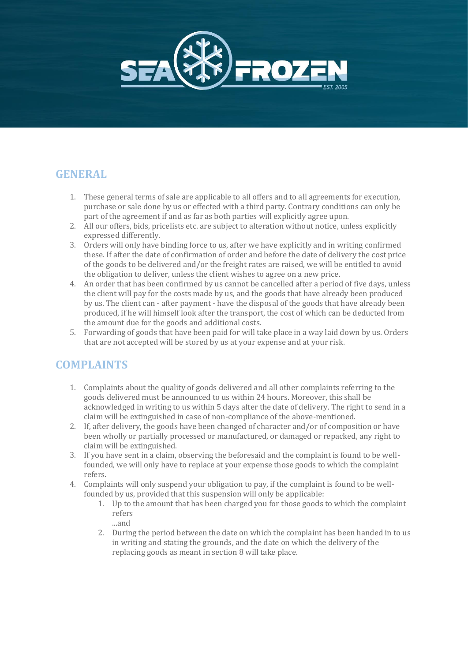

# **GENERAL**

- 1. These general terms of sale are applicable to all offers and to all agreements for execution, purchase or sale done by us or effected with a third party. Contrary conditions can only be part of the agreement if and as far as both parties will explicitly agree upon.
- 2. All our offers, bids, pricelists etc. are subject to alteration without notice, unless explicitly expressed differently.
- 3. Orders will only have binding force to us, after we have explicitly and in writing confirmed these. If after the date of confirmation of order and before the date of delivery the cost price of the goods to be delivered and/or the freight rates are raised, we will be entitled to avoid the obligation to deliver, unless the client wishes to agree on a new price.
- 4. An order that has been confirmed by us cannot be cancelled after a period of five days, unless the client will pay for the costs made by us, and the goods that have already been produced by us. The client can - after payment - have the disposal of the goods that have already been produced, if he will himself look after the transport, the cost of which can be deducted from the amount due for the goods and additional costs.
- 5. Forwarding of goods that have been paid for will take place in a way laid down by us. Orders that are not accepted will be stored by us at your expense and at your risk.

### **COMPLAINTS**

- 1. Complaints about the quality of goods delivered and all other complaints referring to the goods delivered must be announced to us within 24 hours. Moreover, this shall be acknowledged in writing to us within 5 days after the date of delivery. The right to send in a claim will be extinguished in case of non-compliance of the above-mentioned.
- 2. If, after delivery, the goods have been changed of character and/or of composition or have been wholly or partially processed or manufactured, or damaged or repacked, any right to claim will be extinguished.
- 3. If you have sent in a claim, observing the beforesaid and the complaint is found to be wellfounded, we will only have to replace at your expense those goods to which the complaint refers.
- 4. Complaints will only suspend your obligation to pay, if the complaint is found to be wellfounded by us, provided that this suspension will only be applicable:
	- 1. Up to the amount that has been charged you for those goods to which the complaint refers
	- ...and
	- 2. During the period between the date on which the complaint has been handed in to us in writing and stating the grounds, and the date on which the delivery of the replacing goods as meant in section 8 will take place.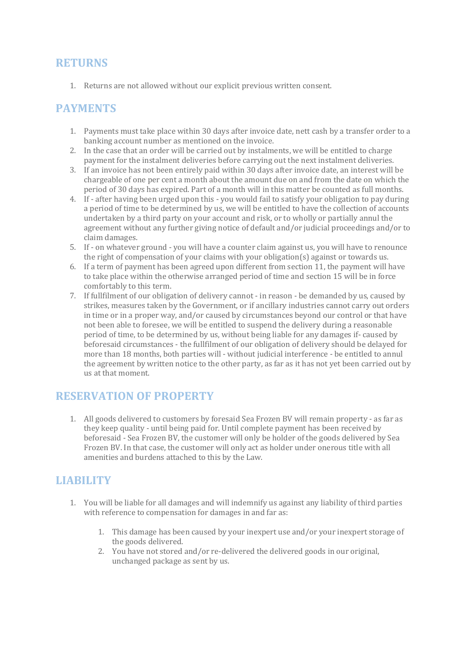#### **RETURNS**

1. Returns are not allowed without our explicit previous written consent.

#### **PAYMENTS**

- 1. Payments must take place within 30 days after invoice date, nett cash by a transfer order to a banking account number as mentioned on the invoice.
- 2. In the case that an order will be carried out by instalments, we will be entitled to charge payment for the instalment deliveries before carrying out the next instalment deliveries.
- 3. If an invoice has not been entirely paid within 30 days after invoice date, an interest will be chargeable of one per cent a month about the amount due on and from the date on which the period of 30 days has expired. Part of a month will in this matter be counted as full months.
- 4. If after having been urged upon this you would fail to satisfy your obligation to pay during a period of time to be determined by us, we will be entitled to have the collection of accounts undertaken by a third party on your account and risk, or to wholly or partially annul the agreement without any further giving notice of default and/or judicial proceedings and/or to claim damages.
- 5. If on whatever ground you will have a counter claim against us, you will have to renounce the right of compensation of your claims with your obligation(s) against or towards us.
- 6. If a term of payment has been agreed upon different from section 11, the payment will have to take place within the otherwise arranged period of time and section 15 will be in force comfortably to this term.
- 7. If fullfilment of our obligation of delivery cannot in reason be demanded by us, caused by strikes, measures taken by the Government, or if ancillary industries cannot carry out orders in time or in a proper way, and/or caused by circumstances beyond our control or that have not been able to foresee, we will be entitled to suspend the delivery during a reasonable period of time, to be determined by us, without being liable for any damages if- caused by beforesaid circumstances - the fullfilment of our obligation of delivery should be delayed for more than 18 months, both parties will - without judicial interference - be entitled to annul the agreement by written notice to the other party, as far as it has not yet been carried out by us at that moment.

# **RESERVATION OF PROPERTY**

1. All goods delivered to customers by foresaid Sea Frozen BV will remain property - as far as they keep quality - until being paid for. Until complete payment has been received by beforesaid - Sea Frozen BV, the customer will only be holder of the goods delivered by Sea Frozen BV. In that case, the customer will only act as holder under onerous title with all amenities and burdens attached to this by the Law.

# **LIABILITY**

- 1. You will be liable for all damages and will indemnify us against any liability of third parties with reference to compensation for damages in and far as:
	- 1. This damage has been caused by your inexpert use and/or your inexpert storage of the goods delivered.
	- 2. You have not stored and/or re-delivered the delivered goods in our original, unchanged package as sent by us.